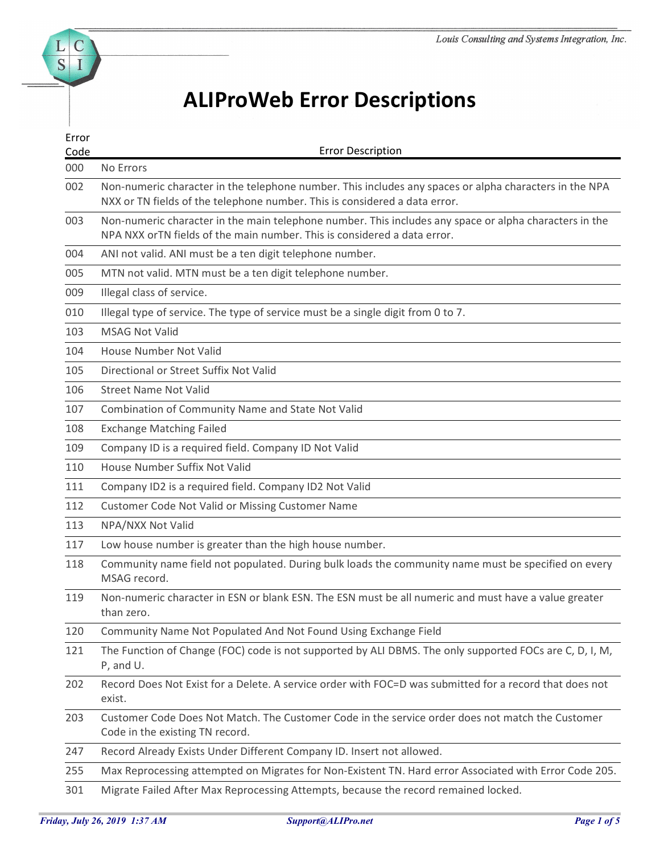## ALIProWeb Error Descriptions

| <b>ALIProWeb Error Descriptions</b><br>Error<br><b>Error Description</b><br>Code<br>No Errors<br>Non-numeric character in the telephone number. This includes any spaces or alpha characters in the NPA<br>NXX or TN fields of the telephone number. This is considered a data error.<br>Non-numeric character in the main telephone number. This includes any space or alpha characters in the<br>NPA NXX orTN fields of the main number. This is considered a data error.<br>ANI not valid. ANI must be a ten digit telephone number.<br>MTN not valid. MTN must be a ten digit telephone number.<br>Illegal class of service.<br>Illegal type of service. The type of service must be a single digit from 0 to 7.<br><b>MSAG Not Valid</b><br>House Number Not Valid<br>Directional or Street Suffix Not Valid<br><b>Street Name Not Valid</b><br>Combination of Community Name and State Not Valid<br><b>Exchange Matching Failed</b><br>Company ID is a required field. Company ID Not Valid<br>House Number Suffix Not Valid<br>Company ID2 is a required field. Company ID2 Not Valid<br>Customer Code Not Valid or Missing Customer Name<br>NPA/NXX Not Valid<br>Low house number is greater than the high house number.<br>Community name field not populated. During bulk loads the community name must be specified on every<br>MSAG record.<br>Non-numeric character in ESN or blank ESN. The ESN must be all numeric and must have a value greater<br>than zero.<br>Community Name Not Populated And Not Found Using Exchange Field<br>The Function of Change (FOC) code is not supported by ALI DBMS. The only supported FOCs are C, D, I, M,<br>P, and U.<br>Record Does Not Exist for a Delete. A service order with FOC=D was submitted for a record that does not<br>exist.<br>Customer Code Does Not Match. The Customer Code in the service order does not match the Customer<br>Code in the existing TN record.<br>Record Already Exists Under Different Company ID. Insert not allowed.<br>Max Reprocessing attempted on Migrates for Non-Existent TN. Hard error Associated with Error Code 205.<br>Migrate Failed After Max Reprocessing Attempts, because the record remained locked. |     |  |
|----------------------------------------------------------------------------------------------------------------------------------------------------------------------------------------------------------------------------------------------------------------------------------------------------------------------------------------------------------------------------------------------------------------------------------------------------------------------------------------------------------------------------------------------------------------------------------------------------------------------------------------------------------------------------------------------------------------------------------------------------------------------------------------------------------------------------------------------------------------------------------------------------------------------------------------------------------------------------------------------------------------------------------------------------------------------------------------------------------------------------------------------------------------------------------------------------------------------------------------------------------------------------------------------------------------------------------------------------------------------------------------------------------------------------------------------------------------------------------------------------------------------------------------------------------------------------------------------------------------------------------------------------------------------------------------------------------------------------------------------------------------------------------------------------------------------------------------------------------------------------------------------------------------------------------------------------------------------------------------------------------------------------------------------------------------------------------------------------------------------------------------------------------------------------------------------------------------|-----|--|
|                                                                                                                                                                                                                                                                                                                                                                                                                                                                                                                                                                                                                                                                                                                                                                                                                                                                                                                                                                                                                                                                                                                                                                                                                                                                                                                                                                                                                                                                                                                                                                                                                                                                                                                                                                                                                                                                                                                                                                                                                                                                                                                                                                                                                |     |  |
|                                                                                                                                                                                                                                                                                                                                                                                                                                                                                                                                                                                                                                                                                                                                                                                                                                                                                                                                                                                                                                                                                                                                                                                                                                                                                                                                                                                                                                                                                                                                                                                                                                                                                                                                                                                                                                                                                                                                                                                                                                                                                                                                                                                                                |     |  |
|                                                                                                                                                                                                                                                                                                                                                                                                                                                                                                                                                                                                                                                                                                                                                                                                                                                                                                                                                                                                                                                                                                                                                                                                                                                                                                                                                                                                                                                                                                                                                                                                                                                                                                                                                                                                                                                                                                                                                                                                                                                                                                                                                                                                                |     |  |
|                                                                                                                                                                                                                                                                                                                                                                                                                                                                                                                                                                                                                                                                                                                                                                                                                                                                                                                                                                                                                                                                                                                                                                                                                                                                                                                                                                                                                                                                                                                                                                                                                                                                                                                                                                                                                                                                                                                                                                                                                                                                                                                                                                                                                |     |  |
|                                                                                                                                                                                                                                                                                                                                                                                                                                                                                                                                                                                                                                                                                                                                                                                                                                                                                                                                                                                                                                                                                                                                                                                                                                                                                                                                                                                                                                                                                                                                                                                                                                                                                                                                                                                                                                                                                                                                                                                                                                                                                                                                                                                                                | 000 |  |
|                                                                                                                                                                                                                                                                                                                                                                                                                                                                                                                                                                                                                                                                                                                                                                                                                                                                                                                                                                                                                                                                                                                                                                                                                                                                                                                                                                                                                                                                                                                                                                                                                                                                                                                                                                                                                                                                                                                                                                                                                                                                                                                                                                                                                | 002 |  |
|                                                                                                                                                                                                                                                                                                                                                                                                                                                                                                                                                                                                                                                                                                                                                                                                                                                                                                                                                                                                                                                                                                                                                                                                                                                                                                                                                                                                                                                                                                                                                                                                                                                                                                                                                                                                                                                                                                                                                                                                                                                                                                                                                                                                                | 003 |  |
|                                                                                                                                                                                                                                                                                                                                                                                                                                                                                                                                                                                                                                                                                                                                                                                                                                                                                                                                                                                                                                                                                                                                                                                                                                                                                                                                                                                                                                                                                                                                                                                                                                                                                                                                                                                                                                                                                                                                                                                                                                                                                                                                                                                                                | 004 |  |
|                                                                                                                                                                                                                                                                                                                                                                                                                                                                                                                                                                                                                                                                                                                                                                                                                                                                                                                                                                                                                                                                                                                                                                                                                                                                                                                                                                                                                                                                                                                                                                                                                                                                                                                                                                                                                                                                                                                                                                                                                                                                                                                                                                                                                | 005 |  |
|                                                                                                                                                                                                                                                                                                                                                                                                                                                                                                                                                                                                                                                                                                                                                                                                                                                                                                                                                                                                                                                                                                                                                                                                                                                                                                                                                                                                                                                                                                                                                                                                                                                                                                                                                                                                                                                                                                                                                                                                                                                                                                                                                                                                                | 009 |  |
|                                                                                                                                                                                                                                                                                                                                                                                                                                                                                                                                                                                                                                                                                                                                                                                                                                                                                                                                                                                                                                                                                                                                                                                                                                                                                                                                                                                                                                                                                                                                                                                                                                                                                                                                                                                                                                                                                                                                                                                                                                                                                                                                                                                                                | 010 |  |
|                                                                                                                                                                                                                                                                                                                                                                                                                                                                                                                                                                                                                                                                                                                                                                                                                                                                                                                                                                                                                                                                                                                                                                                                                                                                                                                                                                                                                                                                                                                                                                                                                                                                                                                                                                                                                                                                                                                                                                                                                                                                                                                                                                                                                | 103 |  |
|                                                                                                                                                                                                                                                                                                                                                                                                                                                                                                                                                                                                                                                                                                                                                                                                                                                                                                                                                                                                                                                                                                                                                                                                                                                                                                                                                                                                                                                                                                                                                                                                                                                                                                                                                                                                                                                                                                                                                                                                                                                                                                                                                                                                                | 104 |  |
|                                                                                                                                                                                                                                                                                                                                                                                                                                                                                                                                                                                                                                                                                                                                                                                                                                                                                                                                                                                                                                                                                                                                                                                                                                                                                                                                                                                                                                                                                                                                                                                                                                                                                                                                                                                                                                                                                                                                                                                                                                                                                                                                                                                                                | 105 |  |
|                                                                                                                                                                                                                                                                                                                                                                                                                                                                                                                                                                                                                                                                                                                                                                                                                                                                                                                                                                                                                                                                                                                                                                                                                                                                                                                                                                                                                                                                                                                                                                                                                                                                                                                                                                                                                                                                                                                                                                                                                                                                                                                                                                                                                | 106 |  |
|                                                                                                                                                                                                                                                                                                                                                                                                                                                                                                                                                                                                                                                                                                                                                                                                                                                                                                                                                                                                                                                                                                                                                                                                                                                                                                                                                                                                                                                                                                                                                                                                                                                                                                                                                                                                                                                                                                                                                                                                                                                                                                                                                                                                                | 107 |  |
|                                                                                                                                                                                                                                                                                                                                                                                                                                                                                                                                                                                                                                                                                                                                                                                                                                                                                                                                                                                                                                                                                                                                                                                                                                                                                                                                                                                                                                                                                                                                                                                                                                                                                                                                                                                                                                                                                                                                                                                                                                                                                                                                                                                                                | 108 |  |
|                                                                                                                                                                                                                                                                                                                                                                                                                                                                                                                                                                                                                                                                                                                                                                                                                                                                                                                                                                                                                                                                                                                                                                                                                                                                                                                                                                                                                                                                                                                                                                                                                                                                                                                                                                                                                                                                                                                                                                                                                                                                                                                                                                                                                | 109 |  |
|                                                                                                                                                                                                                                                                                                                                                                                                                                                                                                                                                                                                                                                                                                                                                                                                                                                                                                                                                                                                                                                                                                                                                                                                                                                                                                                                                                                                                                                                                                                                                                                                                                                                                                                                                                                                                                                                                                                                                                                                                                                                                                                                                                                                                | 110 |  |
|                                                                                                                                                                                                                                                                                                                                                                                                                                                                                                                                                                                                                                                                                                                                                                                                                                                                                                                                                                                                                                                                                                                                                                                                                                                                                                                                                                                                                                                                                                                                                                                                                                                                                                                                                                                                                                                                                                                                                                                                                                                                                                                                                                                                                | 111 |  |
|                                                                                                                                                                                                                                                                                                                                                                                                                                                                                                                                                                                                                                                                                                                                                                                                                                                                                                                                                                                                                                                                                                                                                                                                                                                                                                                                                                                                                                                                                                                                                                                                                                                                                                                                                                                                                                                                                                                                                                                                                                                                                                                                                                                                                | 112 |  |
|                                                                                                                                                                                                                                                                                                                                                                                                                                                                                                                                                                                                                                                                                                                                                                                                                                                                                                                                                                                                                                                                                                                                                                                                                                                                                                                                                                                                                                                                                                                                                                                                                                                                                                                                                                                                                                                                                                                                                                                                                                                                                                                                                                                                                | 113 |  |
|                                                                                                                                                                                                                                                                                                                                                                                                                                                                                                                                                                                                                                                                                                                                                                                                                                                                                                                                                                                                                                                                                                                                                                                                                                                                                                                                                                                                                                                                                                                                                                                                                                                                                                                                                                                                                                                                                                                                                                                                                                                                                                                                                                                                                | 117 |  |
|                                                                                                                                                                                                                                                                                                                                                                                                                                                                                                                                                                                                                                                                                                                                                                                                                                                                                                                                                                                                                                                                                                                                                                                                                                                                                                                                                                                                                                                                                                                                                                                                                                                                                                                                                                                                                                                                                                                                                                                                                                                                                                                                                                                                                | 118 |  |
|                                                                                                                                                                                                                                                                                                                                                                                                                                                                                                                                                                                                                                                                                                                                                                                                                                                                                                                                                                                                                                                                                                                                                                                                                                                                                                                                                                                                                                                                                                                                                                                                                                                                                                                                                                                                                                                                                                                                                                                                                                                                                                                                                                                                                | 119 |  |
|                                                                                                                                                                                                                                                                                                                                                                                                                                                                                                                                                                                                                                                                                                                                                                                                                                                                                                                                                                                                                                                                                                                                                                                                                                                                                                                                                                                                                                                                                                                                                                                                                                                                                                                                                                                                                                                                                                                                                                                                                                                                                                                                                                                                                | 120 |  |
|                                                                                                                                                                                                                                                                                                                                                                                                                                                                                                                                                                                                                                                                                                                                                                                                                                                                                                                                                                                                                                                                                                                                                                                                                                                                                                                                                                                                                                                                                                                                                                                                                                                                                                                                                                                                                                                                                                                                                                                                                                                                                                                                                                                                                | 121 |  |
|                                                                                                                                                                                                                                                                                                                                                                                                                                                                                                                                                                                                                                                                                                                                                                                                                                                                                                                                                                                                                                                                                                                                                                                                                                                                                                                                                                                                                                                                                                                                                                                                                                                                                                                                                                                                                                                                                                                                                                                                                                                                                                                                                                                                                | 202 |  |
|                                                                                                                                                                                                                                                                                                                                                                                                                                                                                                                                                                                                                                                                                                                                                                                                                                                                                                                                                                                                                                                                                                                                                                                                                                                                                                                                                                                                                                                                                                                                                                                                                                                                                                                                                                                                                                                                                                                                                                                                                                                                                                                                                                                                                | 203 |  |
|                                                                                                                                                                                                                                                                                                                                                                                                                                                                                                                                                                                                                                                                                                                                                                                                                                                                                                                                                                                                                                                                                                                                                                                                                                                                                                                                                                                                                                                                                                                                                                                                                                                                                                                                                                                                                                                                                                                                                                                                                                                                                                                                                                                                                | 247 |  |
|                                                                                                                                                                                                                                                                                                                                                                                                                                                                                                                                                                                                                                                                                                                                                                                                                                                                                                                                                                                                                                                                                                                                                                                                                                                                                                                                                                                                                                                                                                                                                                                                                                                                                                                                                                                                                                                                                                                                                                                                                                                                                                                                                                                                                | 255 |  |
|                                                                                                                                                                                                                                                                                                                                                                                                                                                                                                                                                                                                                                                                                                                                                                                                                                                                                                                                                                                                                                                                                                                                                                                                                                                                                                                                                                                                                                                                                                                                                                                                                                                                                                                                                                                                                                                                                                                                                                                                                                                                                                                                                                                                                | 301 |  |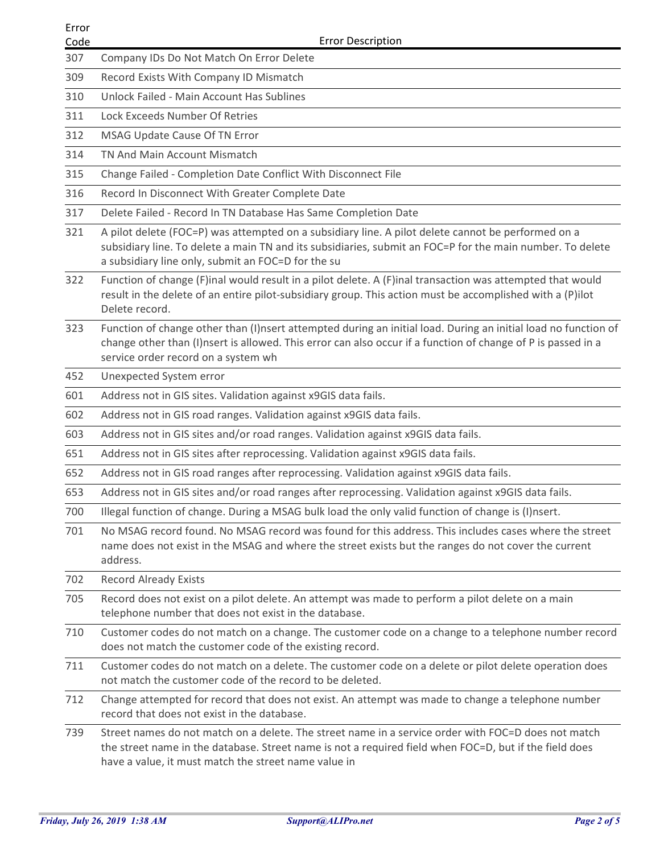| Error<br>Code |                                                                                                                                                                                                                                                                       |
|---------------|-----------------------------------------------------------------------------------------------------------------------------------------------------------------------------------------------------------------------------------------------------------------------|
|               |                                                                                                                                                                                                                                                                       |
|               |                                                                                                                                                                                                                                                                       |
|               | <b>Error Description</b>                                                                                                                                                                                                                                              |
| 307           | Company IDs Do Not Match On Error Delete                                                                                                                                                                                                                              |
| 309           | Record Exists With Company ID Mismatch                                                                                                                                                                                                                                |
| 310           | Unlock Failed - Main Account Has Sublines                                                                                                                                                                                                                             |
| 311           | Lock Exceeds Number Of Retries                                                                                                                                                                                                                                        |
| 312           | MSAG Update Cause Of TN Error                                                                                                                                                                                                                                         |
| 314           | TN And Main Account Mismatch                                                                                                                                                                                                                                          |
| 315           | Change Failed - Completion Date Conflict With Disconnect File                                                                                                                                                                                                         |
| 316           | Record In Disconnect With Greater Complete Date                                                                                                                                                                                                                       |
| 317           | Delete Failed - Record In TN Database Has Same Completion Date                                                                                                                                                                                                        |
| 321           | A pilot delete (FOC=P) was attempted on a subsidiary line. A pilot delete cannot be performed on a<br>subsidiary line. To delete a main TN and its subsidiaries, submit an FOC=P for the main number. To delete<br>a subsidiary line only, submit an FOC=D for the su |
| 322           | Function of change (F)inal would result in a pilot delete. A (F)inal transaction was attempted that would<br>result in the delete of an entire pilot-subsidiary group. This action must be accomplished with a (P)ilot<br>Delete record.                              |
| 323           | Function of change other than (I)nsert attempted during an initial load. During an initial load no function of<br>change other than (I)nsert is allowed. This error can also occur if a function of change of P is passed in a<br>service order record on a system wh |
| 452           | Unexpected System error                                                                                                                                                                                                                                               |
| 601           | Address not in GIS sites. Validation against x9GIS data fails.                                                                                                                                                                                                        |
| 602           | Address not in GIS road ranges. Validation against x9GIS data fails.                                                                                                                                                                                                  |
| 603           | Address not in GIS sites and/or road ranges. Validation against x9GIS data fails.                                                                                                                                                                                     |
| 651           | Address not in GIS sites after reprocessing. Validation against x9GIS data fails.                                                                                                                                                                                     |
| 652           | Address not in GIS road ranges after reprocessing. Validation against x9GIS data fails.                                                                                                                                                                               |
| 653           | Address not in GIS sites and/or road ranges after reprocessing. Validation against x9GIS data fails.                                                                                                                                                                  |
| 700           | Illegal function of change. During a MSAG bulk load the only valid function of change is (I)nsert.                                                                                                                                                                    |
| 701           | No MSAG record found. No MSAG record was found for this address. This includes cases where the street<br>name does not exist in the MSAG and where the street exists but the ranges do not cover the current<br>address.                                              |
| 702           | <b>Record Already Exists</b>                                                                                                                                                                                                                                          |
| 705           | Record does not exist on a pilot delete. An attempt was made to perform a pilot delete on a main<br>telephone number that does not exist in the database.                                                                                                             |
| 710           | Customer codes do not match on a change. The customer code on a change to a telephone number record<br>does not match the customer code of the existing record.                                                                                                       |
| 711           | Customer codes do not match on a delete. The customer code on a delete or pilot delete operation does<br>not match the customer code of the record to be deleted.                                                                                                     |
| 712           | Change attempted for record that does not exist. An attempt was made to change a telephone number<br>record that does not exist in the database.                                                                                                                      |
| 739           | Street names do not match on a delete. The street name in a service order with FOC=D does not match<br>the street name in the database. Street name is not a required field when FOC=D, but if the field does<br>have a value, it must match the street name value in |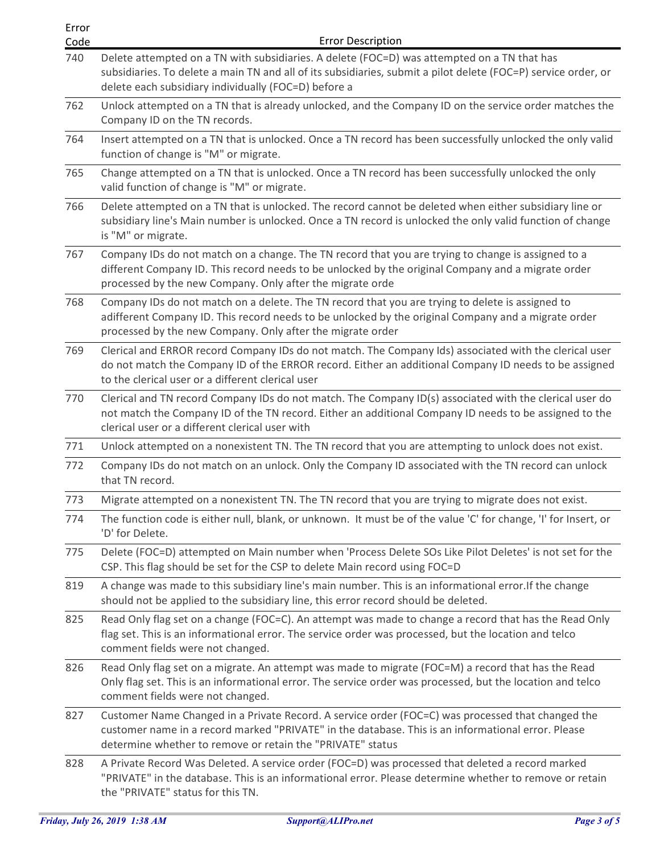| Error |                                                                                                                                                                                                                                                                       |
|-------|-----------------------------------------------------------------------------------------------------------------------------------------------------------------------------------------------------------------------------------------------------------------------|
|       |                                                                                                                                                                                                                                                                       |
| Code  | <b>Error Description</b>                                                                                                                                                                                                                                              |
| 740   | Delete attempted on a TN with subsidiaries. A delete (FOC=D) was attempted on a TN that has<br>subsidiaries. To delete a main TN and all of its subsidiaries, submit a pilot delete (FOC=P) service order, or<br>delete each subsidiary individually (FOC=D) before a |
| 762   | Unlock attempted on a TN that is already unlocked, and the Company ID on the service order matches the<br>Company ID on the TN records.                                                                                                                               |
| 764   | Insert attempted on a TN that is unlocked. Once a TN record has been successfully unlocked the only valid<br>function of change is "M" or migrate.                                                                                                                    |
| 765   | Change attempted on a TN that is unlocked. Once a TN record has been successfully unlocked the only<br>valid function of change is "M" or migrate.                                                                                                                    |
| 766   | Delete attempted on a TN that is unlocked. The record cannot be deleted when either subsidiary line or<br>subsidiary line's Main number is unlocked. Once a TN record is unlocked the only valid function of change<br>is "M" or migrate.                             |
| 767   | Company IDs do not match on a change. The TN record that you are trying to change is assigned to a<br>different Company ID. This record needs to be unlocked by the original Company and a migrate order<br>processed by the new Company. Only after the migrate orde |
| 768   | Company IDs do not match on a delete. The TN record that you are trying to delete is assigned to<br>adifferent Company ID. This record needs to be unlocked by the original Company and a migrate order<br>processed by the new Company. Only after the migrate order |
| 769   | Clerical and ERROR record Company IDs do not match. The Company Ids) associated with the clerical user<br>do not match the Company ID of the ERROR record. Either an additional Company ID needs to be assigned<br>to the clerical user or a different clerical user  |
| 770   | Clerical and TN record Company IDs do not match. The Company ID(s) associated with the clerical user do<br>not match the Company ID of the TN record. Either an additional Company ID needs to be assigned to the<br>clerical user or a different clerical user with  |
| 771   | Unlock attempted on a nonexistent TN. The TN record that you are attempting to unlock does not exist.                                                                                                                                                                 |
| 772   | Company IDs do not match on an unlock. Only the Company ID associated with the TN record can unlock<br>that TN record.                                                                                                                                                |
| 773   | Migrate attempted on a nonexistent TN. The TN record that you are trying to migrate does not exist.                                                                                                                                                                   |
| 774   | The function code is either null, blank, or unknown. It must be of the value 'C' for change, 'I' for Insert, or<br>'D' for Delete.                                                                                                                                    |
| 775   | Delete (FOC=D) attempted on Main number when 'Process Delete SOs Like Pilot Deletes' is not set for the<br>CSP. This flag should be set for the CSP to delete Main record using FOC=D                                                                                 |
| 819   | A change was made to this subsidiary line's main number. This is an informational error. If the change<br>should not be applied to the subsidiary line, this error record should be deleted.                                                                          |
| 825   | Read Only flag set on a change (FOC=C). An attempt was made to change a record that has the Read Only<br>flag set. This is an informational error. The service order was processed, but the location and telco<br>comment fields were not changed.                    |
| 826   | Read Only flag set on a migrate. An attempt was made to migrate (FOC=M) a record that has the Read<br>Only flag set. This is an informational error. The service order was processed, but the location and telco<br>comment fields were not changed.                  |
| 827   | Customer Name Changed in a Private Record. A service order (FOC=C) was processed that changed the<br>customer name in a record marked "PRIVATE" in the database. This is an informational error. Please<br>determine whether to remove or retain the "PRIVATE" status |
| 828   | A Private Record Was Deleted. A service order (FOC=D) was processed that deleted a record marked<br>"PRIVATE" in the database. This is an informational error. Please determine whether to remove or retain<br>the "PRIVATE" status for this TN.                      |